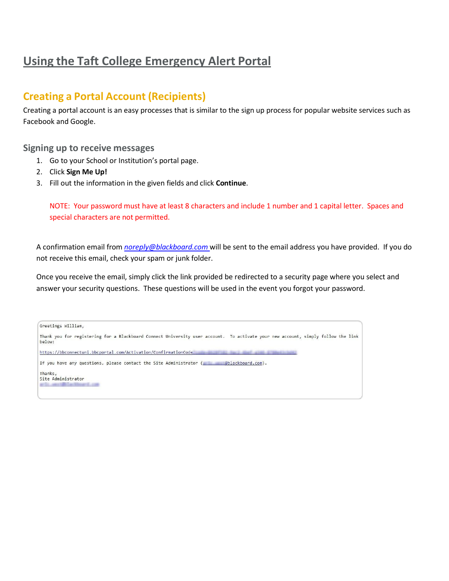# **Using the Taft College Emergency Alert Portal**

### **Creating a Portal Account (Recipients)**

Creating a portal account is an easy processes that is similar to the sign up process for popular website services such as Facebook and Google.

#### **Signing up to receive messages**

- 1. Go to your School or Institution's portal page.
- 2. Click **Sign Me Up!**
- 3. Fill out the information in the given fields and click **Continue**.

NOTE: Your password must have at least 8 characters and include 1 number and 1 capital letter. Spaces and special characters are not permitted.

A confirmation email from *[noreply@blackboard.com](mailto:noreply@blackboard.com)* will be sent to the email address you have provided. If you do not receive this email, check your spam or junk folder.

Once you receive the email, simply click the link provided be redirected to a security page where you select and answer your security questions. These questions will be used in the event you forgot your password.

| Greetings William,                                                                                                                         |
|--------------------------------------------------------------------------------------------------------------------------------------------|
| Thank you for registering for a Blackboard Connect University user account. To activate your new account, simply follow the link<br>below: |
| https://bbconnectuni.bbcportal.com/Activation/ConfirmationCode                                                                             |
| If you have any questions, please contact the Site Administrator (<br>@blackboard.com).                                                    |
| Thanks,<br>Site Administrator<br>AT 11. AND A TABLE AND RESIDENCE. AND                                                                     |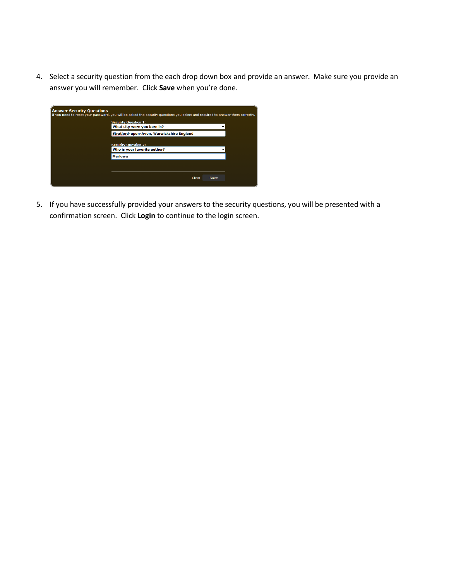4. Select a security question from the each drop down box and provide an answer. Make sure you provide an answer you will remember. Click **Save** when you're done.

| <b>Answer Security Questions</b> | If you need to reset your password, you will be asked the security questions you select and required to answer them correctly. |
|----------------------------------|--------------------------------------------------------------------------------------------------------------------------------|
|                                  | <b>Security Question 1:</b><br>What city were you born in?                                                                     |
|                                  | Stratford-upon-Avon, Warwickshire England                                                                                      |
|                                  | <b>Security Question 2:</b><br>Who is your favorite author?                                                                    |
|                                  | <b>Marlowe</b>                                                                                                                 |
|                                  |                                                                                                                                |
|                                  | Clear<br>Save                                                                                                                  |

5. If you have successfully provided your answers to the security questions, you will be presented with a confirmation screen. Click **Login** to continue to the login screen.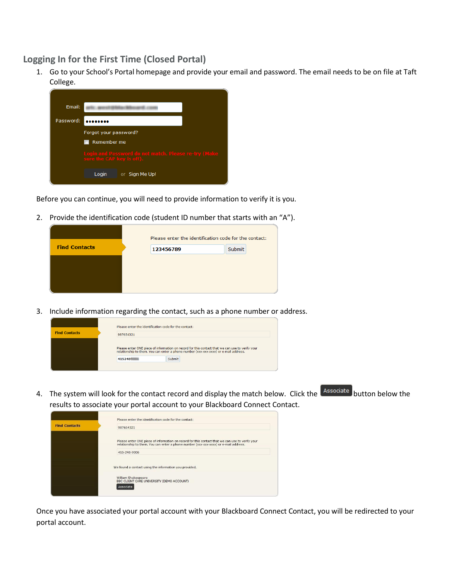**Logging In for the First Time (Closed Portal)**

1. Go to your School's Portal homepage and provide your email and password. The email needs to be on file at Taft College.



Before you can continue, you will need to provide information to verify it is you.

2. Provide the identification code (student ID number that starts with an "A").

|                      | Please enter the identification code for the contact: |        |  |  |  |
|----------------------|-------------------------------------------------------|--------|--|--|--|
| <b>Find Contacts</b> | 123456789                                             | Submit |  |  |  |
|                      |                                                       |        |  |  |  |
|                      |                                                       |        |  |  |  |
|                      |                                                       |        |  |  |  |

3. Include information regarding the contact, such as a phone number or address.

|                      | Please enter the identification code for the contact: |                                                                                                                                                                                                          |
|----------------------|-------------------------------------------------------|----------------------------------------------------------------------------------------------------------------------------------------------------------------------------------------------------------|
| <b>Find Contacts</b> | 987654321                                             |                                                                                                                                                                                                          |
|                      | 415248                                                | Please enter ONE piece of information on record for this contact that we can use to verify your<br>relationship to them. You can enter a phone number (xxx-xxx-xxxx) or e-mail address.<br><b>Submit</b> |

4. The system will look for the contact record and display the match below. Click the **Associate** button below the results to associate your portal account to your Blackboard Connect Contact.

|                      | Please enter the identification code for the contact:                                                                                                                                   |
|----------------------|-----------------------------------------------------------------------------------------------------------------------------------------------------------------------------------------|
| <b>Find Contacts</b> | 987654321                                                                                                                                                                               |
|                      | Please enter ONE piece of information on record for this contact that we can use to verify your<br>relationship to them. You can enter a phone number (xxx-xxx-xxxx) or e-mail address. |
|                      | 415-248-9006                                                                                                                                                                            |
|                      | We found a contact using the information you provided.                                                                                                                                  |
|                      | William Shakespeare<br>BBC CLIENT CARE UNIVERSITY (DEMO ACCOUNT)<br>Associate                                                                                                           |

Once you have associated your portal account with your Blackboard Connect Contact, you will be redirected to your portal account.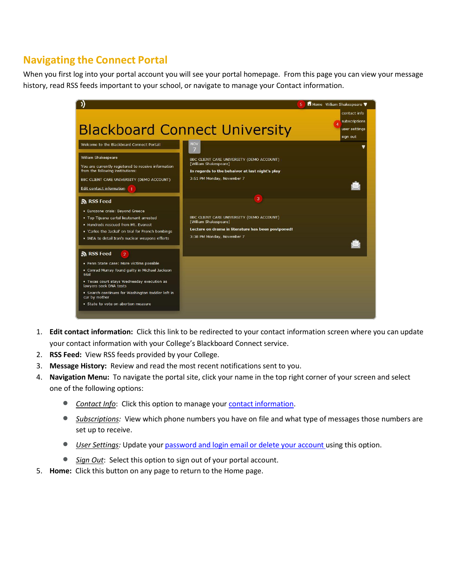## **Navigating the Connect Portal**

When you first log into your portal account you will see your portal homepage. From this page you can view your message history, read RSS feeds important to your school, or navigate to manage your Contact information.



- 1. **Edit contact information:** Click this link to be redirected to your contact information screen where you can update your contact information with your College's Blackboard Connect service.
- 2. **RSS Feed:** View RSS feeds provided by your College.
- 3. **Message History:** Review and read the most recent notifications sent to you.
- 4. **Navigation Menu:** To navigate the portal site, click your name in the top right corner of your screen and select one of the following options:
	- *Contact Info*: Click this option to manage your contact [information.](#page-4-0)
	- *Subscriptions:* View which phone numbers you have on file and what type of messages those numbers are set up to receive.
	- *User Settings:* Update your password and login email or delete your account using this option.
	- *Sign Out*: Select this option to sign out of your portal account.
- 5. **Home:** Click this button on any page to return to the Home page.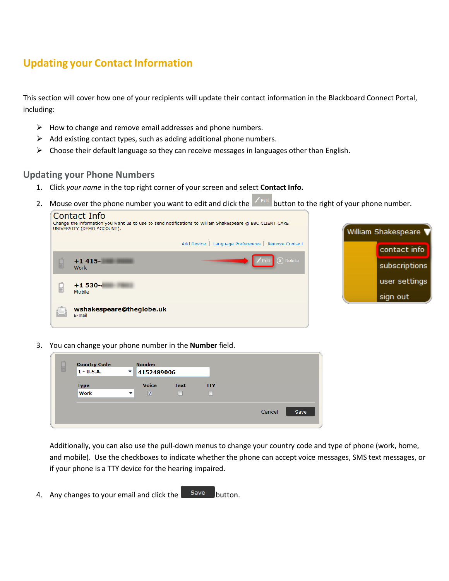# <span id="page-4-0"></span>**Updating your Contact Information**

This section will cover how one of your recipients will update their contact information in the Blackboard Connect Portal, including:

- $\triangleright$  How to change and remove email addresses and phone numbers.
- $\triangleright$  Add existing contact types, such as adding additional phone numbers.
- $\triangleright$  Choose their default language so they can receive messages in languages other than English.

#### **Updating your Phone Numbers**

- 1. Click *your name* in the top right corner of your screen and select **Contact Info.**
- 2. Mouse over the phone number you want to edit and click the  $\mathbb{Z}$  ledgered button to the right of your phone number.



3. You can change your phone number in the **Number** field.

| <b>Country Code</b><br>囲<br>$1 - U.S.A.$ | $\overline{\phantom{a}}$ | <b>Number</b><br>4152489006 |                       |                 |        |      |
|------------------------------------------|--------------------------|-----------------------------|-----------------------|-----------------|--------|------|
| <b>Type</b><br>Work                      | $\overline{\phantom{a}}$ | <b>Voice</b><br>V           | <b>Text</b><br>$\Box$ | <b>TTY</b><br>П |        |      |
|                                          |                          |                             |                       |                 | Cancel | Save |

Additionally, you can also use the pull-down menus to change your country code and type of phone (work, home, and mobile). Use the checkboxes to indicate whether the phone can accept voice messages, SMS text messages, or if your phone is a TTY device for the hearing impaired.

4. Any changes to your email and click the  $\vert$  save button.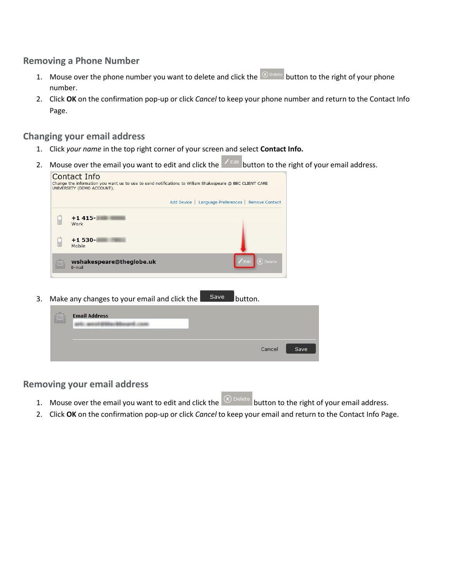### **Removing a Phone Number**

- 1. Mouse over the phone number you want to delete and click the  $\overline{\otimes}$  belete button to the right of your phone number.
- 2. Click **OK** on the confirmation pop-up or click *Cancel* to keep your phone number and return to the Contact Info Page.

### **Changing your email address**

- 1. Click *your name* in the top right corner of your screen and select **Contact Info.**
- 2. Mouse over the email you want to edit and click the  $\vert z \vert$  button to the right of your email address.

| $+1415-$<br>屈<br>Work                                          |  |
|----------------------------------------------------------------|--|
|                                                                |  |
| $+1530-$<br>屈<br>Mobile                                        |  |
| $(x)$ Delete<br>$Z$ Edit<br>wshakespeare@theglobe.uk<br>E-mail |  |

| S | <b>Email Address</b> |        |      |
|---|----------------------|--------|------|
|   |                      | Cancel | Save |

**Removing your email address**

- 1. Mouse over the email you want to edit and click the  $\overline{\textcircled{x}}$  belete button to the right of your email address.
- 2. Click **OK** on the confirmation pop-up or click *Cancel* to keep your email and return to the Contact Info Page.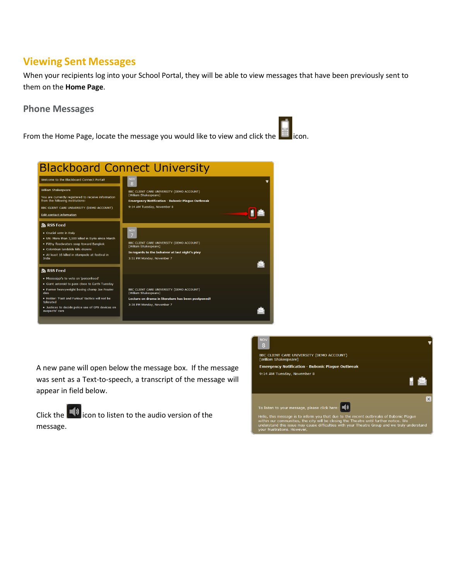## **Viewing Sent Messages**

When your recipients log into your School Portal, they will be able to view messages that have been previously sent to them on the **Home Page**.

#### **Phone Messages**

From the Home Page, locate the message you would like to view and click the interestion.



A new pane will open below the message box. If the message was sent as a Text-to-speech, a transcript of the message will appear in field below.

Click the  $\blacksquare$  icon to listen to the audio version of the message.

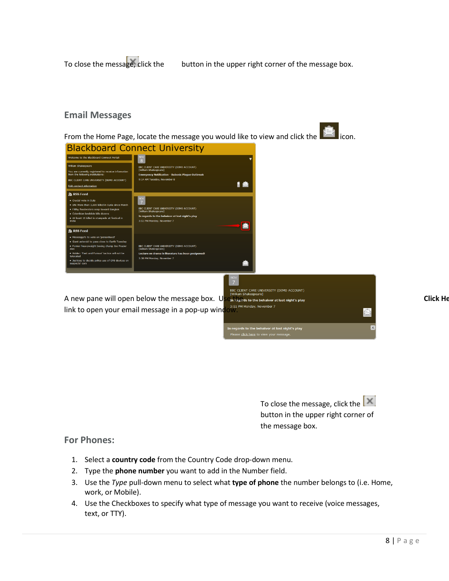To close the message, click the button in the upper right corner of the message box.

#### **Email Messages**

From the Home Page, locate the message you would like to view and click the  $\Box$  icon.



To close the message, click the  $\left|\mathbb{X}\right|$ button in the upper right corner of the message box.

#### **For Phones:**

- 1. Select a **country code** from the Country Code drop-down menu.
- 2. Type the **phone number** you want to add in the Number field.
- 3. Use the *Type* pull-down menu to select what **type of phone** the number belongs to (i.e. Home, work, or Mobile).
- 4. Use the Checkboxes to specify what type of message you want to receive (voice messages, text, or TTY).